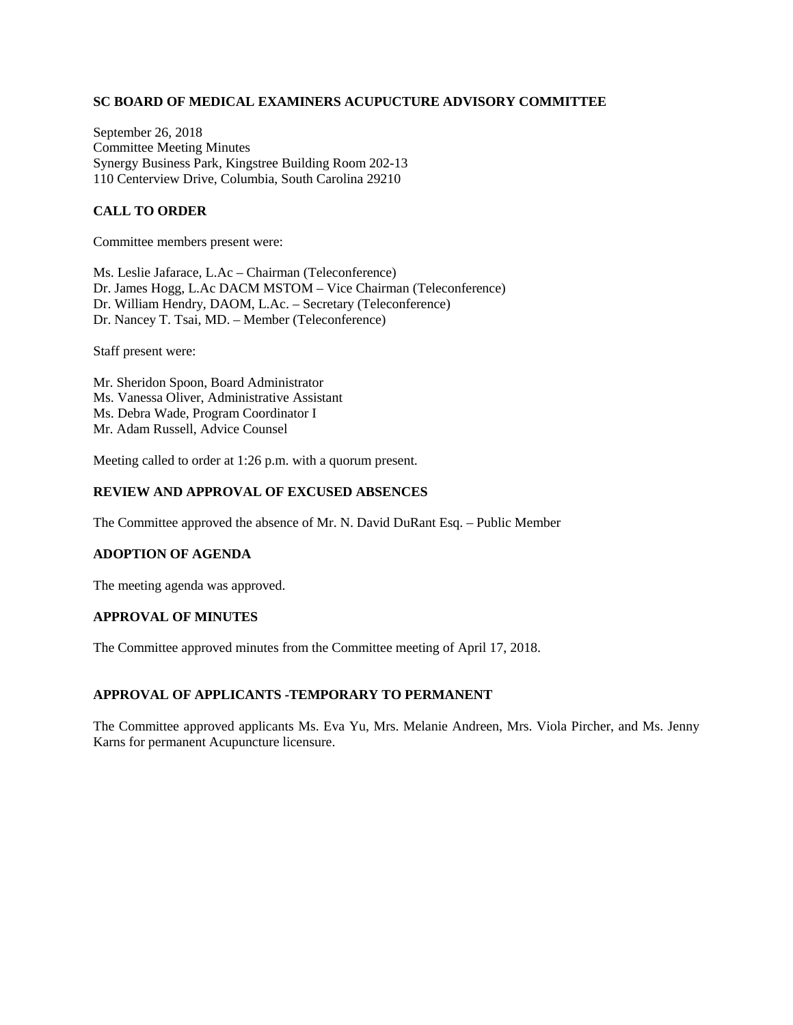## **SC BOARD OF MEDICAL EXAMINERS ACUPUCTURE ADVISORY COMMITTEE**

September 26, 2018 Committee Meeting Minutes Synergy Business Park, Kingstree Building Room 202-13 110 Centerview Drive, Columbia, South Carolina 29210

# **CALL TO ORDER**

Committee members present were:

Ms. Leslie Jafarace, L.Ac – Chairman (Teleconference) Dr. James Hogg, L.Ac DACM MSTOM – Vice Chairman (Teleconference) Dr. William Hendry, DAOM, L.Ac. – Secretary (Teleconference) Dr. Nancey T. Tsai, MD. – Member (Teleconference)

Staff present were:

Mr. Sheridon Spoon, Board Administrator Ms. Vanessa Oliver, Administrative Assistant Ms. Debra Wade, Program Coordinator I Mr. Adam Russell, Advice Counsel

Meeting called to order at 1:26 p.m. with a quorum present.

#### **REVIEW AND APPROVAL OF EXCUSED ABSENCES**

The Committee approved the absence of Mr. N. David DuRant Esq. – Public Member

## **ADOPTION OF AGENDA**

The meeting agenda was approved.

### **APPROVAL OF MINUTES**

The Committee approved minutes from the Committee meeting of April 17, 2018.

## **APPROVAL OF APPLICANTS -TEMPORARY TO PERMANENT**

The Committee approved applicants Ms. Eva Yu, Mrs. Melanie Andreen, Mrs. Viola Pircher, and Ms. Jenny Karns for permanent Acupuncture licensure.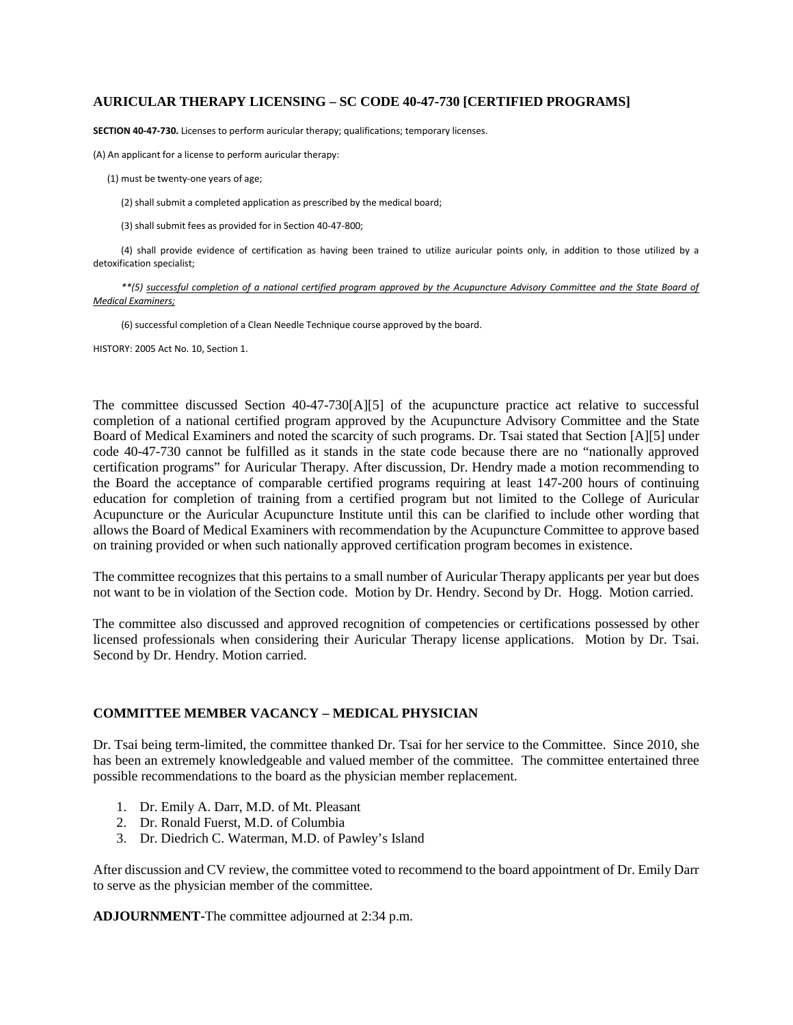#### **AURICULAR THERAPY LICENSING – SC CODE 40-47-730 [CERTIFIED PROGRAMS]**

**SECTION 40-47-730.** Licenses to perform auricular therapy; qualifications; temporary licenses.

(A) An applicant for a license to perform auricular therapy:

- (1) must be twenty-one years of age;
	- (2) shall submit a completed application as prescribed by the medical board;
	- (3) shall submit fees as provided for in Section 40-47-800;

(4) shall provide evidence of certification as having been trained to utilize auricular points only, in addition to those utilized by a detoxification specialist;

*\*\*(5) successful completion of a national certified program approved by the Acupuncture Advisory Committee and the State Board of Medical Examiners;*

(6) successful completion of a Clean Needle Technique course approved by the board.

HISTORY: 2005 Act No. 10, Section 1.

The committee discussed Section 40-47-730[A][5] of the acupuncture practice act relative to successful completion of a national certified program approved by the Acupuncture Advisory Committee and the State Board of Medical Examiners and noted the scarcity of such programs. Dr. Tsai stated that Section [A][5] under code 40-47-730 cannot be fulfilled as it stands in the state code because there are no "nationally approved certification programs" for Auricular Therapy. After discussion, Dr. Hendry made a motion recommending to the Board the acceptance of comparable certified programs requiring at least 147-200 hours of continuing education for completion of training from a certified program but not limited to the College of Auricular Acupuncture or the Auricular Acupuncture Institute until this can be clarified to include other wording that allows the Board of Medical Examiners with recommendation by the Acupuncture Committee to approve based on training provided or when such nationally approved certification program becomes in existence.

The committee recognizes that this pertains to a small number of Auricular Therapy applicants per year but does not want to be in violation of the Section code. Motion by Dr. Hendry. Second by Dr. Hogg. Motion carried.

The committee also discussed and approved recognition of competencies or certifications possessed by other licensed professionals when considering their Auricular Therapy license applications. Motion by Dr. Tsai. Second by Dr. Hendry. Motion carried.

### **COMMITTEE MEMBER VACANCY – MEDICAL PHYSICIAN**

Dr. Tsai being term-limited, the committee thanked Dr. Tsai for her service to the Committee. Since 2010, she has been an extremely knowledgeable and valued member of the committee. The committee entertained three possible recommendations to the board as the physician member replacement.

- 1. Dr. Emily A. Darr, M.D. of Mt. Pleasant
- 2. Dr. Ronald Fuerst, M.D. of Columbia
- 3. Dr. Diedrich C. Waterman, M.D. of Pawley's Island

After discussion and CV review, the committee voted to recommend to the board appointment of Dr. Emily Darr to serve as the physician member of the committee.

**ADJOURNMENT-**The committee adjourned at 2:34 p.m.